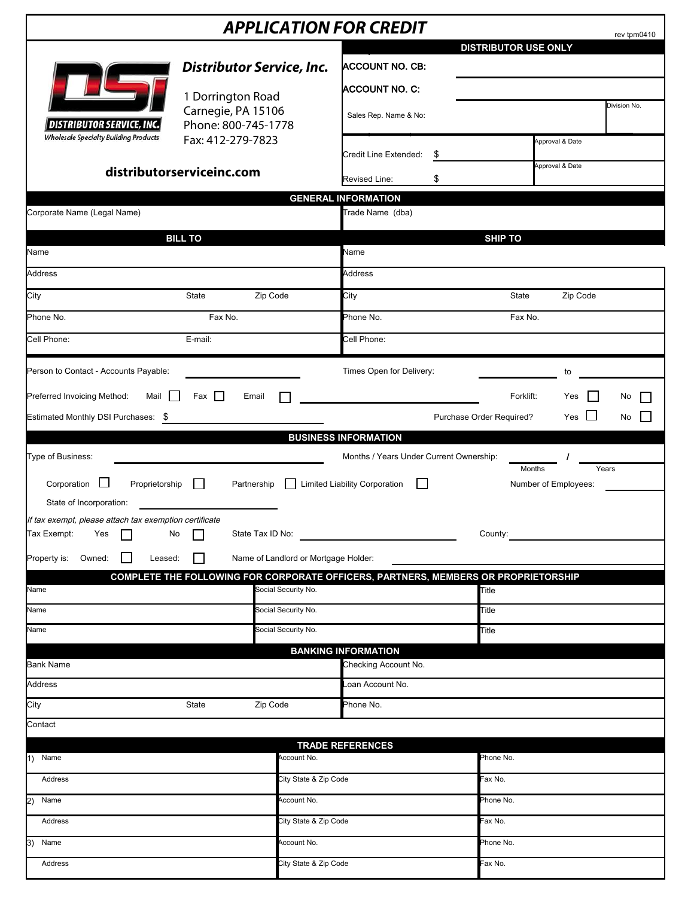|                                                                                   |                                                                | <b>APPLICATION FOR CREDIT</b>                                                             |                                        | rev tpm0410 |
|-----------------------------------------------------------------------------------|----------------------------------------------------------------|-------------------------------------------------------------------------------------------|----------------------------------------|-------------|
|                                                                                   |                                                                |                                                                                           | <b>DISTRIBUTOR USE ONLY</b>            |             |
|                                                                                   | <b>Distributor Service, Inc.</b>                               | ACCOUNT NO. CB:                                                                           |                                        |             |
|                                                                                   | 1 Dorrington Road                                              | ACCOUNT NO. C:                                                                            |                                        |             |
| DISTRIBUTOR SERVICE, INC.<br><b>Wholesale Specialty Building Products</b>         | Carnegie, PA 15106<br>Phone: 800-745-1778<br>Fax: 412-279-7823 | Sales Rep. Name & No:                                                                     | Division No.                           |             |
|                                                                                   |                                                                | Credit Line Extended:<br>\$                                                               | Approval & Date                        |             |
| distributorserviceinc.com                                                         |                                                                | Revised Line:<br>\$                                                                       | Approval & Date                        |             |
|                                                                                   |                                                                | <b>GENERAL INFORMATION</b>                                                                |                                        |             |
| Corporate Name (Legal Name)                                                       |                                                                | Trade Name (dba)                                                                          |                                        |             |
|                                                                                   | <b>BILL TO</b>                                                 |                                                                                           | <b>SHIP TO</b>                         |             |
| Name                                                                              |                                                                | Name                                                                                      |                                        |             |
| <b>Address</b>                                                                    |                                                                | <b>Address</b>                                                                            |                                        |             |
| City                                                                              | Zip Code<br>State                                              | City                                                                                      | State<br>Zip Code                      |             |
| Phone No.                                                                         | Fax No.                                                        | Phone No.                                                                                 | Fax No.                                |             |
| Cell Phone:                                                                       | E-mail:                                                        | Cell Phone:                                                                               |                                        |             |
| Person to Contact - Accounts Payable:                                             |                                                                | Times Open for Delivery:                                                                  | to                                     |             |
| Mail                                                                              | Fax                                                            |                                                                                           | Forklift:                              |             |
| Preferred Invoicing Method:<br>Estimated Monthly DSI Purchases: \$                | Email                                                          |                                                                                           | Yes<br>Purchase Order Required?<br>Yes | No<br>No    |
|                                                                                   |                                                                |                                                                                           |                                        |             |
| Type of Business:                                                                 |                                                                | <b>BUSINESS INFORMATION</b><br>Months / Years Under Current Ownership:                    |                                        |             |
|                                                                                   |                                                                |                                                                                           | Months<br>Years                        |             |
| Corporation<br>Proprietorship<br>$\Box$                                           | $\Box$<br>Partnership                                          | <b>Limited Liability Corporation</b><br>$\mathsf{L}$                                      | Number of Employees:                   |             |
| State of Incorporation:<br>If tax exempt, please attach tax exemption certificate |                                                                |                                                                                           |                                        |             |
| Tax Exempt:<br>State Tax ID No:<br>Yes<br>No                                      |                                                                |                                                                                           | County:                                |             |
| Property is:<br>Owned:<br>Leased:                                                 |                                                                | Name of Landlord or Mortgage Holder:                                                      |                                        |             |
|                                                                                   |                                                                | <b>COMPLETE THE FOLLOWING FOR CORPORATE OFFICERS, PARTNERS, MEMBERS OR PROPRIETORSHIP</b> |                                        |             |
| Name                                                                              | Social Security No.                                            |                                                                                           | Title                                  |             |
| Name                                                                              | Social Security No.                                            |                                                                                           | Title                                  |             |
| Name                                                                              | Social Security No.                                            |                                                                                           | Title                                  |             |
| Bank Name                                                                         |                                                                | <b>BANKING INFORMATION</b><br>Checking Account No.                                        |                                        |             |
| Address                                                                           |                                                                | Loan Account No.                                                                          |                                        |             |
| City<br>Zip Code<br>State                                                         |                                                                | Phone No.                                                                                 |                                        |             |
| Contact                                                                           |                                                                |                                                                                           |                                        |             |
|                                                                                   |                                                                | <b>TRADE REFERENCES</b>                                                                   |                                        |             |
| 1) Name                                                                           | Account No.                                                    |                                                                                           | Phone No.                              |             |
| City State & Zip Code<br>Address                                                  |                                                                |                                                                                           | Fax No.                                |             |
| Account No.<br>Name<br> 2)                                                        |                                                                |                                                                                           | Phone No.                              |             |
| City State & Zip Code<br>Address                                                  |                                                                |                                                                                           | Fax No.                                |             |
| 3)<br>Account No.<br>Name                                                         |                                                                |                                                                                           | Phone No.                              |             |
| City State & Zip Code<br>Address                                                  |                                                                |                                                                                           | Fax No.                                |             |
|                                                                                   |                                                                |                                                                                           |                                        |             |